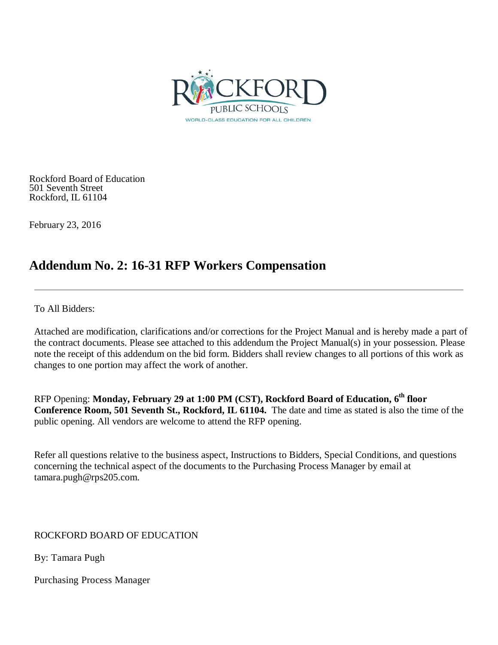

Rockford Board of Education 501 Seventh Street Rockford, IL 61104

February 23, 2016

# **Addendum No. 2: 16-31 RFP Workers Compensation**

To All Bidders:

Attached are modification, clarifications and/or corrections for the Project Manual and is hereby made a part of the contract documents. Please see attached to this addendum the Project Manual(s) in your possession. Please note the receipt of this addendum on the bid form. Bidders shall review changes to all portions of this work as changes to one portion may affect the work of another.

RFP Opening: **Monday, February 29 at 1:00 PM (CST), Rockford Board of Education, 6th floor Conference Room, 501 Seventh St., Rockford, IL 61104.** The date and time as stated is also the time of the public opening. All vendors are welcome to attend the RFP opening.

Refer all questions relative to the business aspect, Instructions to Bidders, Special Conditions, and questions concerning the technical aspect of the documents to the Purchasing Process Manager by email at tamara.pugh@rps205.com.

ROCKFORD BOARD OF EDUCATION

By: Tamara Pugh

Purchasing Process Manager